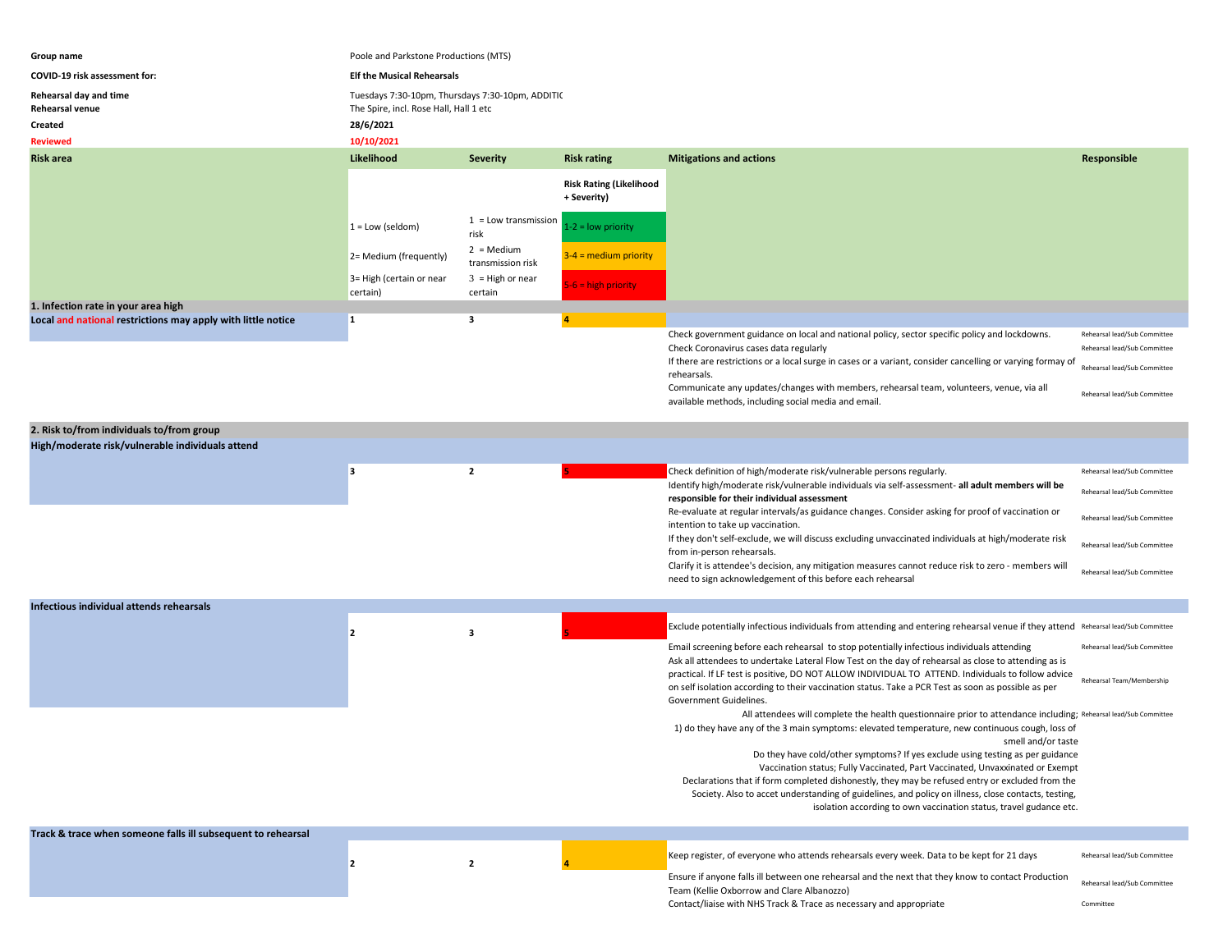| Group name                                                   | Poole and Parkstone Productions (MTS)                                                      |                                   |                                               |                                                                                                                                                                                                                                                                              |                                                                                              |  |
|--------------------------------------------------------------|--------------------------------------------------------------------------------------------|-----------------------------------|-----------------------------------------------|------------------------------------------------------------------------------------------------------------------------------------------------------------------------------------------------------------------------------------------------------------------------------|----------------------------------------------------------------------------------------------|--|
| COVID-19 risk assessment for:                                | <b>Elf the Musical Rehearsals</b>                                                          |                                   |                                               |                                                                                                                                                                                                                                                                              |                                                                                              |  |
| Rehearsal day and time<br>Rehearsal venue                    | Tuesdays 7:30-10pm, Thursdays 7:30-10pm, ADDITI(<br>The Spire, incl. Rose Hall, Hall 1 etc |                                   |                                               |                                                                                                                                                                                                                                                                              |                                                                                              |  |
| Created                                                      | 28/6/2021                                                                                  |                                   |                                               |                                                                                                                                                                                                                                                                              |                                                                                              |  |
| <b>Reviewed</b>                                              | 10/10/2021                                                                                 |                                   |                                               |                                                                                                                                                                                                                                                                              |                                                                                              |  |
| <b>Risk area</b>                                             | Likelihood                                                                                 | <b>Severity</b>                   | <b>Risk rating</b>                            | <b>Mitigations and actions</b>                                                                                                                                                                                                                                               | Responsible                                                                                  |  |
|                                                              |                                                                                            |                                   | <b>Risk Rating (Likelihood</b><br>+ Severity) |                                                                                                                                                                                                                                                                              |                                                                                              |  |
|                                                              | $1 = Low (seldom)$                                                                         | $1 =$ Low transmission<br>risk    | $1-2 =$ low priority                          |                                                                                                                                                                                                                                                                              |                                                                                              |  |
|                                                              | 2= Medium (frequently)                                                                     | $2 = Median$<br>transmission risk | $3-4$ = medium priority                       |                                                                                                                                                                                                                                                                              |                                                                                              |  |
|                                                              | 3= High (certain or near<br>certain)                                                       | $3 = High or near$<br>certain     | $5-6 =$ high priority                         |                                                                                                                                                                                                                                                                              |                                                                                              |  |
| 1. Infection rate in your area high                          |                                                                                            |                                   |                                               |                                                                                                                                                                                                                                                                              |                                                                                              |  |
| Local and national restrictions may apply with little notice | $\mathbf{1}$                                                                               | 3                                 |                                               | Check government guidance on local and national policy, sector specific policy and lockdowns.<br>Check Coronavirus cases data regularly<br>If there are restrictions or a local surge in cases or a variant, consider cancelling or varying formay of<br>rehearsals.         | Rehearsal lead/Sub Committee<br>Rehearsal lead/Sub Committee<br>Rehearsal lead/Sub Committee |  |
|                                                              |                                                                                            |                                   |                                               | Communicate any updates/changes with members, rehearsal team, volunteers, venue, via all<br>available methods, including social media and email.                                                                                                                             | Rehearsal lead/Sub Committee                                                                 |  |
| 2. Risk to/from individuals to/from group                    |                                                                                            |                                   |                                               |                                                                                                                                                                                                                                                                              |                                                                                              |  |
| High/moderate risk/vulnerable individuals attend             |                                                                                            |                                   |                                               |                                                                                                                                                                                                                                                                              |                                                                                              |  |
|                                                              |                                                                                            |                                   |                                               |                                                                                                                                                                                                                                                                              |                                                                                              |  |
|                                                              | 3                                                                                          | $\overline{2}$                    |                                               | Check definition of high/moderate risk/vulnerable persons regularly.<br>Identify high/moderate risk/vulnerable individuals via self-assessment- all adult members will be<br>responsible for their individual assessment                                                     | Rehearsal lead/Sub Committee<br>Rehearsal lead/Sub Committee                                 |  |
|                                                              |                                                                                            |                                   |                                               | Re-evaluate at regular intervals/as guidance changes. Consider asking for proof of vaccination or<br>intention to take up vaccination.<br>If they don't self-exclude, we will discuss excluding unvaccinated individuals at high/moderate risk                               | Rehearsal lead/Sub Committee                                                                 |  |
|                                                              |                                                                                            |                                   |                                               | from in-person rehearsals.<br>Clarify it is attendee's decision, any mitigation measures cannot reduce risk to zero - members will                                                                                                                                           | Rehearsal lead/Sub Committee<br>Rehearsal lead/Sub Committee                                 |  |
|                                                              |                                                                                            |                                   |                                               | need to sign acknowledgement of this before each rehearsal                                                                                                                                                                                                                   |                                                                                              |  |
| Infectious individual attends rehearsals                     |                                                                                            |                                   |                                               |                                                                                                                                                                                                                                                                              |                                                                                              |  |
|                                                              |                                                                                            |                                   |                                               | Exclude potentially infectious individuals from attending and entering rehearsal venue if they attend Rehearsal lead/Sub Committee                                                                                                                                           |                                                                                              |  |
|                                                              | 2                                                                                          | 3                                 |                                               | Email screening before each rehearsal to stop potentially infectious individuals attending<br>Ask all attendees to undertake Lateral Flow Test on the day of rehearsal as close to attending as is                                                                           | Rehearsal lead/Sub Committee                                                                 |  |
|                                                              |                                                                                            |                                   |                                               | practical. If LF test is positive, DO NOT ALLOW INDIVIDUAL TO ATTEND. Individuals to follow advice<br>on self isolation according to their vaccination status. Take a PCR Test as soon as possible as per<br>Government Guidelines.                                          | Rehearsal Team/Membership                                                                    |  |
|                                                              |                                                                                            |                                   |                                               | All attendees will complete the health questionnaire prior to attendance including; Rehearsal lead/Sub Committee<br>1) do they have any of the 3 main symptoms: elevated temperature, new continuous cough, loss of                                                          |                                                                                              |  |
|                                                              |                                                                                            |                                   |                                               | smell and/or taste                                                                                                                                                                                                                                                           |                                                                                              |  |
|                                                              |                                                                                            |                                   |                                               | Do they have cold/other symptoms? If yes exclude using testing as per guidance<br>Vaccination status; Fully Vaccinated, Part Vaccinated, Unvaxxinated or Exempt                                                                                                              |                                                                                              |  |
|                                                              |                                                                                            |                                   |                                               | Declarations that if form completed dishonestly, they may be refused entry or excluded from the<br>Society. Also to accet understanding of guidelines, and policy on illness, close contacts, testing,<br>isolation according to own vaccination status, travel gudance etc. |                                                                                              |  |
|                                                              |                                                                                            |                                   |                                               |                                                                                                                                                                                                                                                                              |                                                                                              |  |
| Track & trace when someone falls ill subsequent to rehearsal |                                                                                            |                                   |                                               |                                                                                                                                                                                                                                                                              |                                                                                              |  |
|                                                              | $\overline{2}$                                                                             | $\overline{2}$                    |                                               | Keep register, of everyone who attends rehearsals every week. Data to be kept for 21 days                                                                                                                                                                                    | Rehearsal lead/Sub Committee                                                                 |  |
|                                                              |                                                                                            |                                   |                                               | Ensure if anyone falls ill between one rehearsal and the next that they know to contact Production<br>Team (Kellie Oxborrow and Clare Albanozzo)                                                                                                                             | Rehearsal lead/Sub Committee                                                                 |  |
|                                                              |                                                                                            |                                   |                                               | Contact/liaise with NHS Track & Trace as necessary and appropriate                                                                                                                                                                                                           | Committee                                                                                    |  |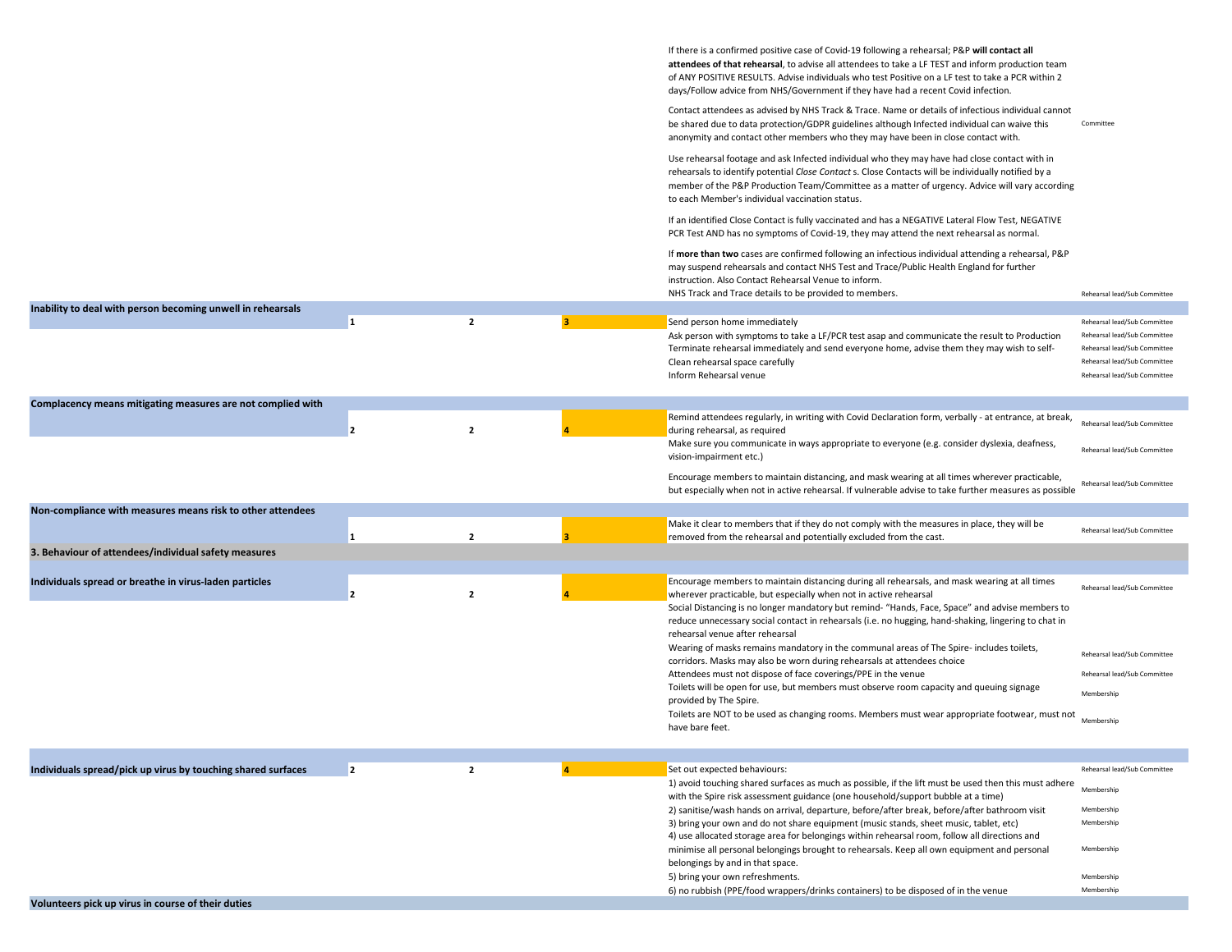|                                                              |                |                |   | If there is a confirmed positive case of Covid-19 following a rehearsal; P&P will contact all<br>attendees of that rehearsal, to advise all attendees to take a LF TEST and inform production team<br>of ANY POSITIVE RESULTS. Advise individuals who test Positive on a LF test to take a PCR within 2<br>days/Follow advice from NHS/Government if they have had a recent Covid infection.<br>Contact attendees as advised by NHS Track & Trace. Name or details of infectious individual cannot<br>be shared due to data protection/GDPR guidelines although Infected individual can waive this | Committee                                                                                                                    |
|--------------------------------------------------------------|----------------|----------------|---|----------------------------------------------------------------------------------------------------------------------------------------------------------------------------------------------------------------------------------------------------------------------------------------------------------------------------------------------------------------------------------------------------------------------------------------------------------------------------------------------------------------------------------------------------------------------------------------------------|------------------------------------------------------------------------------------------------------------------------------|
|                                                              |                |                |   | anonymity and contact other members who they may have been in close contact with.<br>Use rehearsal footage and ask Infected individual who they may have had close contact with in<br>rehearsals to identify potential Close Contact s. Close Contacts will be individually notified by a<br>member of the P&P Production Team/Committee as a matter of urgency. Advice will vary according                                                                                                                                                                                                        |                                                                                                                              |
|                                                              |                |                |   | to each Member's individual vaccination status.<br>If an identified Close Contact is fully vaccinated and has a NEGATIVE Lateral Flow Test, NEGATIVE<br>PCR Test AND has no symptoms of Covid-19, they may attend the next rehearsal as normal.                                                                                                                                                                                                                                                                                                                                                    |                                                                                                                              |
|                                                              |                |                |   | If more than two cases are confirmed following an infectious individual attending a rehearsal, P&P<br>may suspend rehearsals and contact NHS Test and Trace/Public Health England for further<br>instruction. Also Contact Rehearsal Venue to inform.                                                                                                                                                                                                                                                                                                                                              |                                                                                                                              |
|                                                              |                |                |   | NHS Track and Trace details to be provided to members.                                                                                                                                                                                                                                                                                                                                                                                                                                                                                                                                             | Rehearsal lead/Sub Committee                                                                                                 |
| Inability to deal with person becoming unwell in rehearsals  |                | $\overline{2}$ | в | Send person home immediately                                                                                                                                                                                                                                                                                                                                                                                                                                                                                                                                                                       | Rehearsal lead/Sub Committee                                                                                                 |
|                                                              |                |                |   | Ask person with symptoms to take a LF/PCR test asap and communicate the result to Production<br>Terminate rehearsal immediately and send everyone home, advise them they may wish to self-<br>Clean rehearsal space carefully<br>Inform Rehearsal venue                                                                                                                                                                                                                                                                                                                                            | Rehearsal lead/Sub Committee<br>Rehearsal lead/Sub Committee<br>Rehearsal lead/Sub Committee<br>Rehearsal lead/Sub Committee |
| Complacency means mitigating measures are not complied with  |                |                |   |                                                                                                                                                                                                                                                                                                                                                                                                                                                                                                                                                                                                    |                                                                                                                              |
|                                                              | 2              | $\mathbf{2}$   |   | Remind attendees regularly, in writing with Covid Declaration form, verbally - at entrance, at break,<br>during rehearsal, as required                                                                                                                                                                                                                                                                                                                                                                                                                                                             | Rehearsal lead/Sub Committee                                                                                                 |
|                                                              |                |                |   | Make sure you communicate in ways appropriate to everyone (e.g. consider dyslexia, deafness,<br>vision-impairment etc.)                                                                                                                                                                                                                                                                                                                                                                                                                                                                            | Rehearsal lead/Sub Committee                                                                                                 |
|                                                              |                |                |   | Encourage members to maintain distancing, and mask wearing at all times wherever practicable,<br>but especially when not in active rehearsal. If vulnerable advise to take further measures as possible                                                                                                                                                                                                                                                                                                                                                                                            | Rehearsal lead/Sub Committee                                                                                                 |
| Non-compliance with measures means risk to other attendees   |                |                |   |                                                                                                                                                                                                                                                                                                                                                                                                                                                                                                                                                                                                    |                                                                                                                              |
|                                                              | 1              | $\overline{2}$ |   | Make it clear to members that if they do not comply with the measures in place, they will be<br>removed from the rehearsal and potentially excluded from the cast.                                                                                                                                                                                                                                                                                                                                                                                                                                 | Rehearsal lead/Sub Committee                                                                                                 |
| 3. Behaviour of attendees/individual safety measures         |                |                |   |                                                                                                                                                                                                                                                                                                                                                                                                                                                                                                                                                                                                    |                                                                                                                              |
| Individuals spread or breathe in virus-laden particles       |                | $\overline{2}$ |   | Encourage members to maintain distancing during all rehearsals, and mask wearing at all times<br>wherever practicable, but especially when not in active rehearsal                                                                                                                                                                                                                                                                                                                                                                                                                                 | Rehearsal lead/Sub Committee                                                                                                 |
|                                                              |                |                |   | Social Distancing is no longer mandatory but remind- "Hands, Face, Space" and advise members to<br>reduce unnecessary social contact in rehearsals (i.e. no hugging, hand-shaking, lingering to chat in<br>rehearsal venue after rehearsal                                                                                                                                                                                                                                                                                                                                                         |                                                                                                                              |
|                                                              |                |                |   | Wearing of masks remains mandatory in the communal areas of The Spire- includes toilets,<br>corridors. Masks may also be worn during rehearsals at attendees choice                                                                                                                                                                                                                                                                                                                                                                                                                                | Rehearsal lead/Sub Committee                                                                                                 |
|                                                              |                |                |   | Attendees must not dispose of face coverings/PPE in the venue                                                                                                                                                                                                                                                                                                                                                                                                                                                                                                                                      | Rehearsal lead/Sub Committee                                                                                                 |
|                                                              |                |                |   | Toilets will be open for use, but members must observe room capacity and queuing signage                                                                                                                                                                                                                                                                                                                                                                                                                                                                                                           | Membership                                                                                                                   |
|                                                              |                |                |   | provided by The Spire.<br>Toilets are NOT to be used as changing rooms. Members must wear appropriate footwear, must not<br>have bare feet.                                                                                                                                                                                                                                                                                                                                                                                                                                                        | Membership                                                                                                                   |
|                                                              |                |                |   |                                                                                                                                                                                                                                                                                                                                                                                                                                                                                                                                                                                                    |                                                                                                                              |
| Individuals spread/pick up virus by touching shared surfaces | $\overline{2}$ | $\overline{2}$ |   | Set out expected behaviours:                                                                                                                                                                                                                                                                                                                                                                                                                                                                                                                                                                       | Rehearsal lead/Sub Committee                                                                                                 |
|                                                              |                |                |   | 1) avoid touching shared surfaces as much as possible, if the lift must be used then this must adhere<br>with the Spire risk assessment guidance (one household/support bubble at a time)                                                                                                                                                                                                                                                                                                                                                                                                          | Membership                                                                                                                   |
|                                                              |                |                |   | 2) sanitise/wash hands on arrival, departure, before/after break, before/after bathroom visit                                                                                                                                                                                                                                                                                                                                                                                                                                                                                                      | Membership                                                                                                                   |
|                                                              |                |                |   | 3) bring your own and do not share equipment (music stands, sheet music, tablet, etc)<br>4) use allocated storage area for belongings within rehearsal room, follow all directions and<br>minimise all personal belongings brought to rehearsals. Keep all own equipment and personal                                                                                                                                                                                                                                                                                                              | Membership<br>Membership                                                                                                     |
|                                                              |                |                |   | belongings by and in that space.                                                                                                                                                                                                                                                                                                                                                                                                                                                                                                                                                                   |                                                                                                                              |
|                                                              |                |                |   | 5) bring your own refreshments.<br>6) no rubbish (PPE/food wrappers/drinks containers) to be disposed of in the venue                                                                                                                                                                                                                                                                                                                                                                                                                                                                              | Membership<br>Membership                                                                                                     |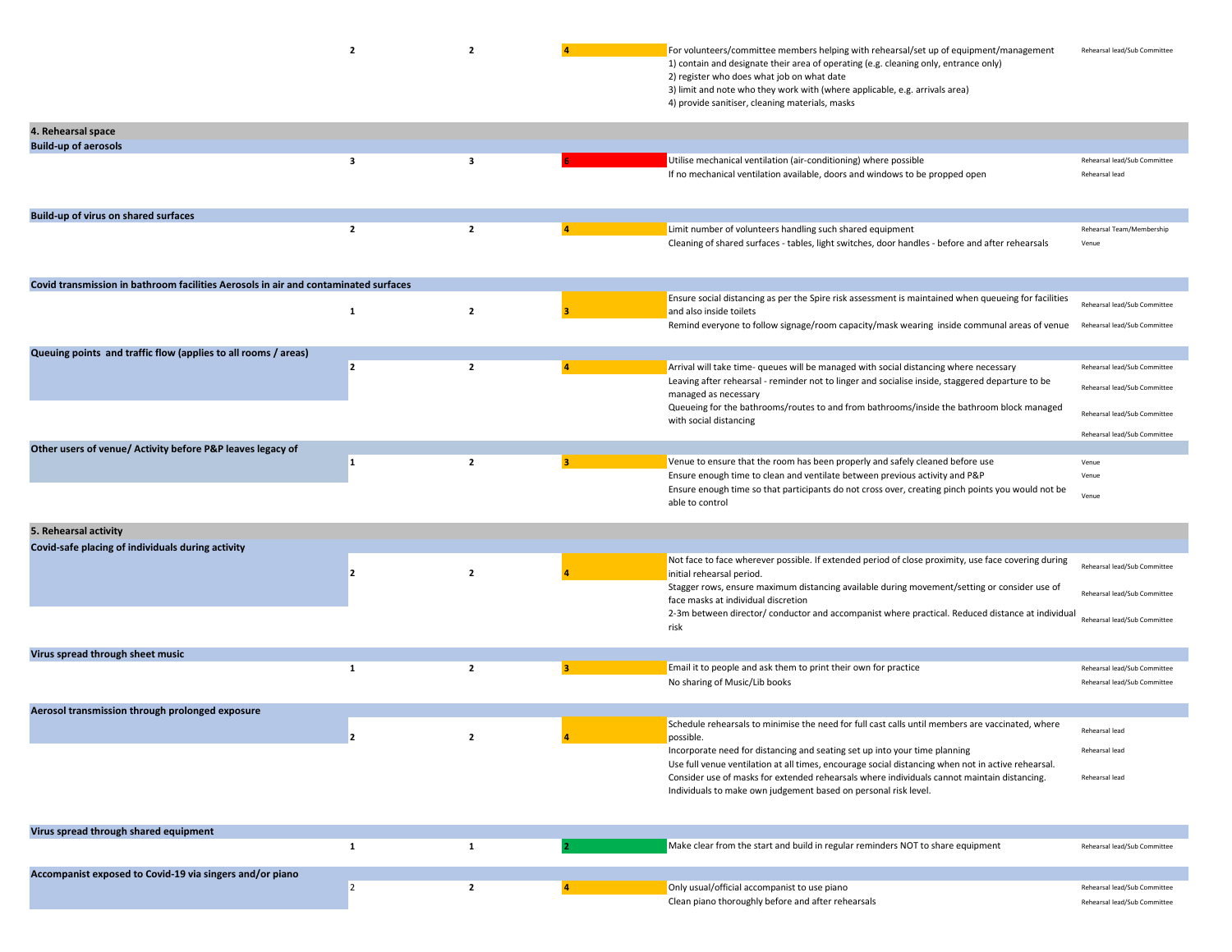|                                                                                     | $\overline{2}$ | $\overline{2}$ |                | For volunteers/committee members helping with rehearsal/set up of equipment/management<br>1) contain and designate their area of operating (e.g. cleaning only, entrance only)<br>2) register who does what job on what date<br>3) limit and note who they work with (where applicable, e.g. arrivals area)<br>4) provide sanitiser, cleaning materials, masks                                                                                                      | Rehearsal lead/Sub Committee                                                                 |
|-------------------------------------------------------------------------------------|----------------|----------------|----------------|---------------------------------------------------------------------------------------------------------------------------------------------------------------------------------------------------------------------------------------------------------------------------------------------------------------------------------------------------------------------------------------------------------------------------------------------------------------------|----------------------------------------------------------------------------------------------|
| 4. Rehearsal space                                                                  |                |                |                |                                                                                                                                                                                                                                                                                                                                                                                                                                                                     |                                                                                              |
| <b>Build-up of aerosols</b>                                                         | 3              | 3              |                | Utilise mechanical ventilation (air-conditioning) where possible<br>If no mechanical ventilation available, doors and windows to be propped open                                                                                                                                                                                                                                                                                                                    | Rehearsal lead/Sub Committee<br>Rehearsal lead                                               |
| Build-up of virus on shared surfaces                                                |                |                |                |                                                                                                                                                                                                                                                                                                                                                                                                                                                                     |                                                                                              |
|                                                                                     | $\overline{2}$ | $\overline{2}$ |                | Limit number of volunteers handling such shared equipment<br>Cleaning of shared surfaces - tables, light switches, door handles - before and after rehearsals                                                                                                                                                                                                                                                                                                       | Rehearsal Team/Membership<br>Venue                                                           |
| Covid transmission in bathroom facilities Aerosols in air and contaminated surfaces |                |                |                |                                                                                                                                                                                                                                                                                                                                                                                                                                                                     |                                                                                              |
|                                                                                     | $\mathbf{1}$   | $\overline{2}$ |                | Ensure social distancing as per the Spire risk assessment is maintained when queueing for facilities<br>and also inside toilets<br>Remind everyone to follow signage/room capacity/mask wearing inside communal areas of venue                                                                                                                                                                                                                                      | Rehearsal lead/Sub Committee<br>Rehearsal lead/Sub Committee                                 |
|                                                                                     |                |                |                |                                                                                                                                                                                                                                                                                                                                                                                                                                                                     |                                                                                              |
| Queuing points and traffic flow (applies to all rooms / areas)                      | $\overline{2}$ | $\overline{2}$ | $\overline{4}$ | Arrival will take time- queues will be managed with social distancing where necessary<br>Leaving after rehearsal - reminder not to linger and socialise inside, staggered departure to be<br>managed as necessary<br>Queueing for the bathrooms/routes to and from bathrooms/inside the bathroom block managed                                                                                                                                                      | Rehearsal lead/Sub Committee<br>Rehearsal lead/Sub Committee<br>Rehearsal lead/Sub Committee |
|                                                                                     |                |                |                | with social distancing                                                                                                                                                                                                                                                                                                                                                                                                                                              |                                                                                              |
| Other users of venue/ Activity before P&P leaves legacy of                          |                |                |                |                                                                                                                                                                                                                                                                                                                                                                                                                                                                     | Rehearsal lead/Sub Committee                                                                 |
|                                                                                     | 1              | $\overline{2}$ | 3              | Venue to ensure that the room has been properly and safely cleaned before use<br>Ensure enough time to clean and ventilate between previous activity and P&P<br>Ensure enough time so that participants do not cross over, creating pinch points you would not be<br>able to control                                                                                                                                                                                | Venue<br>Venue<br>Venue                                                                      |
| 5. Rehearsal activity                                                               |                |                |                |                                                                                                                                                                                                                                                                                                                                                                                                                                                                     |                                                                                              |
| Covid-safe placing of individuals during activity                                   | 2              | $\overline{2}$ |                | Not face to face wherever possible. If extended period of close proximity, use face covering during<br>initial rehearsal period.<br>Stagger rows, ensure maximum distancing available during movement/setting or consider use of<br>face masks at individual discretion<br>2-3m between director/ conductor and accompanist where practical. Reduced distance at individual<br>risk                                                                                 | Rehearsal lead/Sub Committee<br>Rehearsal lead/Sub Committe<br>Rehearsal lead/Sub Committe   |
|                                                                                     |                |                |                |                                                                                                                                                                                                                                                                                                                                                                                                                                                                     |                                                                                              |
| Virus spread through sheet music                                                    | $\mathbf{1}$   | $\overline{2}$ | 3              | Email it to people and ask them to print their own for practice<br>No sharing of Music/Lib books                                                                                                                                                                                                                                                                                                                                                                    | Rehearsal lead/Sub Committee<br>Rehearsal lead/Sub Committee                                 |
| Aerosol transmission through prolonged exposure                                     |                |                |                |                                                                                                                                                                                                                                                                                                                                                                                                                                                                     |                                                                                              |
|                                                                                     |                |                |                | Schedule rehearsals to minimise the need for full cast calls until members are vaccinated, where<br>possible.<br>Incorporate need for distancing and seating set up into your time planning<br>Use full venue ventilation at all times, encourage social distancing when not in active rehearsal.<br>Consider use of masks for extended rehearsals where individuals cannot maintain distancing.<br>Individuals to make own judgement based on personal risk level. | Rehearsal lead<br>Rehearsal lead<br>Rehearsal lead                                           |
| Virus spread through shared equipment                                               |                |                |                |                                                                                                                                                                                                                                                                                                                                                                                                                                                                     |                                                                                              |
|                                                                                     | $\mathbf{1}$   | $\mathbf{1}$   |                | Make clear from the start and build in regular reminders NOT to share equipment                                                                                                                                                                                                                                                                                                                                                                                     | Rehearsal lead/Sub Committee                                                                 |
| Accompanist exposed to Covid-19 via singers and/or piano                            | $\overline{2}$ | $\mathbf{2}$   | 4 <sup>1</sup> | Only usual/official accompanist to use piano<br>Clean piano thoroughly before and after rehearsals                                                                                                                                                                                                                                                                                                                                                                  | Rehearsal lead/Sub Committee<br>Rehearsal lead/Sub Committee                                 |